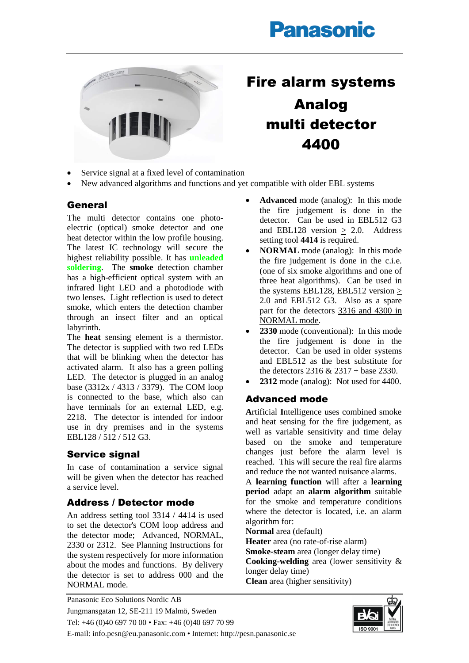# **Panasonic**



## Fire alarm systems Analog multi detector 4400

- Service signal at a fixed level of contamination
- New advanced algorithms and functions and yet compatible with older EBL systems

#### **General**

The multi detector contains one photoelectric (optical) smoke detector and one heat detector within the low profile housing. The latest IC technology will secure the highest reliability possible. It has **unleaded soldering**. The **smoke** detection chamber has a high-efficient optical system with an infrared light LED and a photodiode with two lenses. Light reflection is used to detect smoke, which enters the detection chamber through an insect filter and an optical labyrinth.

The **heat** sensing element is a thermistor. The detector is supplied with two red LEDs that will be blinking when the detector has activated alarm. It also has a green polling LED. The detector is plugged in an analog base (3312x / 4313 / 3379). The COM loop is connected to the base, which also can have terminals for an external LED, e.g. 2218. The detector is intended for indoor use in dry premises and in the systems EBL128 / 512 / 512 G3.

#### Service signal

In case of contamination a service signal will be given when the detector has reached a service level.

#### Address / Detector mode

An address setting tool 3314 / 4414 is used to set the detector's COM loop address and the detector mode; Advanced, NORMAL, 2330 or 2312. See Planning Instructions for the system respectively for more information about the modes and functions. By delivery the detector is set to address 000 and the NORMAL mode.

- **Advanced** mode (analog): In this mode the fire judgement is done in the detector. Can be used in EBL512 G3 and EBL128 version > 2.0. Address setting tool **4414** is required.
- **NORMAL** mode (analog): In this mode the fire judgement is done in the c.i.e. (one of six smoke algorithms and one of three heat algorithms). Can be used in the systems EBL128, EBL512 version > 2.0 and EBL512 G3. Also as a spare part for the detectors 3316 and 4300 in NORMAL mode.
- 2330 mode (conventional): In this mode the fire judgement is done in the detector. Can be used in older systems and EBL512 as the best substitute for the detectors 2316 & 2317 + base 2330.
- **2312** mode (analog): Not used for 4400.

### Advanced mode

**A**rtificial **I**ntelligence uses combined smoke and heat sensing for the fire judgement, as well as variable sensitivity and time delay based on the smoke and temperature changes just before the alarm level is reached. This will secure the real fire alarms and reduce the not wanted nuisance alarms.

A **learning function** will after a **learning period** adapt an **alarm algorithm** suitable for the smoke and temperature conditions where the detector is located, i.e. an alarm algorithm for:

**Normal** area (default)

**Heater** area (no rate-of-rise alarm)

**Smoke-steam** area (longer delay time)

**Cooking-welding** area (lower sensitivity & longer delay time)

**Clean** area (higher sensitivity)



Panasonic Eco Solutions Nordic AB Jungmansgatan 12, SE-211 19 Malmö, Sweden Tel: +46 (0)40 697 70 00 • Fax: +46 (0)40 697 70 99 E-mail: info.pesn@eu.panasonic.com • Internet: http://pesn.panasonic.se